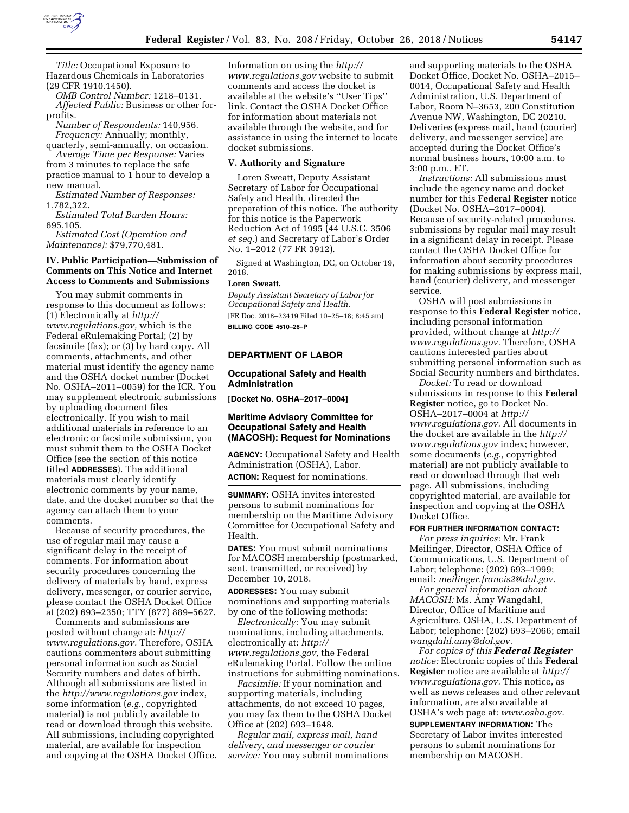

*Title:* Occupational Exposure to Hazardous Chemicals in Laboratories (29 CFR 1910.1450).

*OMB Control Number:* 1218–0131. *Affected Public:* Business or other forprofits.

*Number of Respondents:* 140,956. *Frequency:* Annually; monthly, quarterly, semi-annually, on occasion.

*Average Time per Response:* Varies from 3 minutes to replace the safe practice manual to 1 hour to develop a

new manual. *Estimated Number of Responses:*  1,782,322.

*Estimated Total Burden Hours:*  695,105.

*Estimated Cost (Operation and Maintenance):* \$79,770,481.

# **IV. Public Participation—Submission of Comments on This Notice and Internet Access to Comments and Submissions**

You may submit comments in response to this document as follows: (1) Electronically at *[http://](http://www.regulations.gov) [www.regulations.gov,](http://www.regulations.gov)* which is the Federal eRulemaking Portal; (2) by facsimile (fax); or (3) by hard copy. All comments, attachments, and other material must identify the agency name and the OSHA docket number (Docket No. OSHA–2011–0059) for the ICR. You may supplement electronic submissions by uploading document files electronically. If you wish to mail additional materials in reference to an electronic or facsimile submission, you must submit them to the OSHA Docket Office (see the section of this notice titled **ADDRESSES**). The additional materials must clearly identify electronic comments by your name, date, and the docket number so that the agency can attach them to your comments.

Because of security procedures, the use of regular mail may cause a significant delay in the receipt of comments. For information about security procedures concerning the delivery of materials by hand, express delivery, messenger, or courier service, please contact the OSHA Docket Office at (202) 693–2350; TTY (877) 889–5627.

Comments and submissions are posted without change at: *[http://](http://www.regulations.gov) [www.regulations.gov.](http://www.regulations.gov)* Therefore, OSHA cautions commenters about submitting personal information such as Social Security numbers and dates of birth. Although all submissions are listed in the *<http://www.regulations.gov>*index, some information (*e.g.,* copyrighted material) is not publicly available to read or download through this website. All submissions, including copyrighted material, are available for inspection and copying at the OSHA Docket Office.

Information on using the *[http://](http://www.regulations.gov) [www.regulations.gov](http://www.regulations.gov)* website to submit comments and access the docket is available at the website's ''User Tips'' link. Contact the OSHA Docket Office for information about materials not available through the website, and for assistance in using the internet to locate docket submissions.

### **V. Authority and Signature**

Loren Sweatt, Deputy Assistant Secretary of Labor for Occupational Safety and Health, directed the preparation of this notice. The authority for this notice is the Paperwork Reduction Act of 1995 (44 U.S.C. 3506 *et seq.*) and Secretary of Labor's Order No. 1–2012 (77 FR 3912).

Signed at Washington, DC, on October 19, 2018.

#### **Loren Sweatt,**

*Deputy Assistant Secretary of Labor for Occupational Safety and Health.*  [FR Doc. 2018–23419 Filed 10–25–18; 8:45 am] **BILLING CODE 4510–26–P** 

# **DEPARTMENT OF LABOR**

# **Occupational Safety and Health Administration**

**[Docket No. OSHA–2017–0004]** 

### **Maritime Advisory Committee for Occupational Safety and Health (MACOSH): Request for Nominations**

**AGENCY:** Occupational Safety and Health Administration (OSHA), Labor. **ACTION:** Request for nominations.

**SUMMARY:** OSHA invites interested persons to submit nominations for membership on the Maritime Advisory Committee for Occupational Safety and Health.

**DATES:** You must submit nominations for MACOSH membership (postmarked, sent, transmitted, or received) by December 10, 2018.

**ADDRESSES:** You may submit nominations and supporting materials by one of the following methods:

*Electronically:* You may submit nominations, including attachments, electronically at: *[http://](http://www.regulations.gov) [www.regulations.gov,](http://www.regulations.gov)* the Federal eRulemaking Portal. Follow the online instructions for submitting nominations.

*Facsimile:* If your nomination and supporting materials, including attachments, do not exceed 10 pages, you may fax them to the OSHA Docket Office at (202) 693–1648.

*Regular mail, express mail, hand delivery, and messenger or courier service:* You may submit nominations and supporting materials to the OSHA Docket Office, Docket No. OSHA–2015– 0014, Occupational Safety and Health Administration, U.S. Department of Labor, Room N–3653, 200 Constitution Avenue NW, Washington, DC 20210. Deliveries (express mail, hand (courier) delivery, and messenger service) are accepted during the Docket Office's normal business hours, 10:00 a.m. to 3:00 p.m., ET.

*Instructions:* All submissions must include the agency name and docket number for this **Federal Register** notice (Docket No. OSHA–2017–0004). Because of security-related procedures, submissions by regular mail may result in a significant delay in receipt. Please contact the OSHA Docket Office for information about security procedures for making submissions by express mail, hand (courier) delivery, and messenger service.

OSHA will post submissions in response to this **Federal Register** notice, including personal information provided, without change at *[http://](http://www.regulations.gov) [www.regulations.gov.](http://www.regulations.gov)* Therefore, OSHA cautions interested parties about submitting personal information such as Social Security numbers and birthdates.

*Docket:* To read or download submissions in response to this **Federal Register** notice, go to Docket No. OSHA–2017–0004 at *[http://](http://www.regulations.gov) [www.regulations.gov.](http://www.regulations.gov)* All documents in the docket are available in the *[http://](http://www.regulations.gov) [www.regulations.gov](http://www.regulations.gov)* index; however, some documents (*e.g.,* copyrighted material) are not publicly available to read or download through that web page. All submissions, including copyrighted material, are available for inspection and copying at the OSHA Docket Office.

### **FOR FURTHER INFORMATION CONTACT:**

*For press inquiries:* Mr. Frank Meilinger, Director, OSHA Office of Communications, U.S. Department of Labor; telephone: (202) 693–1999; email: *[meilinger.francis2@dol.gov.](mailto:meilinger.francis2@dol.gov)* 

*For general information about MACOSH:* Ms. Amy Wangdahl, Director, Office of Maritime and Agriculture, OSHA, U.S. Department of Labor; telephone: (202) 693–2066; email *[wangdahl.amy@dol.gov.](mailto:wangdahl.amy@dol.gov)* 

*For copies of this Federal Register notice:* Electronic copies of this **Federal Register** notice are available at *[http://](http://www.regulations.gov) [www.regulations.gov.](http://www.regulations.gov)* This notice, as well as news releases and other relevant information, are also available at OSHA's web page at: *[www.osha.gov.](http://www.osha.gov)* 

**SUPPLEMENTARY INFORMATION:** The Secretary of Labor invites interested persons to submit nominations for membership on MACOSH.